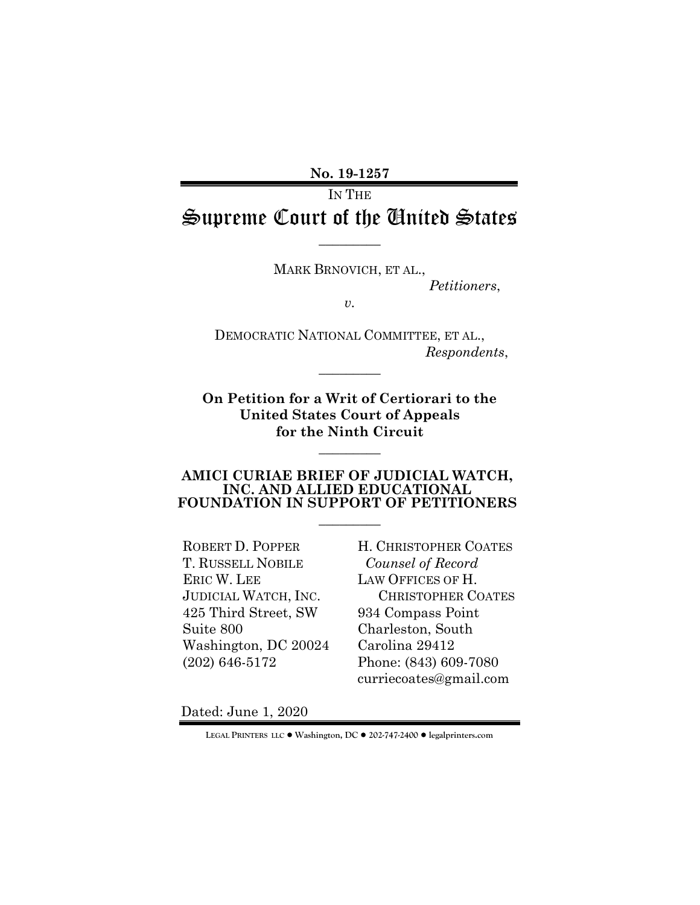**No. 19-1257**

# IN THE Supreme Court of the United States

 $\overline{\phantom{a}}$  . The set of  $\overline{\phantom{a}}$ 

MARK BRNOVICH, ET AL.,

*Petitioners*,

*v.*

DEMOCRATIC NATIONAL COMMITTEE, ET AL., *Respondents*,

**On Petition for a Writ of Certiorari to the United States Court of Appeals for the Ninth Circuit** 

 $\overline{\phantom{a}}$  . The set of  $\overline{\phantom{a}}$ 

 $\overline{\phantom{a}}$  . The set of  $\overline{\phantom{a}}$ 

#### **AMICI CURIAE BRIEF OF JUDICIAL WATCH, INC. AND ALLIED EDUCATIONAL FOUNDATION IN SUPPORT OF PETITIONERS**

 $\overline{\phantom{a}}$   $\overline{\phantom{a}}$ 

ROBERT D. POPPER T. RUSSELL NOBILE ERIC W. LEE JUDICIAL WATCH, INC. 425 Third Street, SW Suite 800 Washington, DC 20024 (202) 646-5172

H. CHRISTOPHER COATES *Counsel of Record* LAW OFFICES OF H. CHRISTOPHER COATES 934 Compass Point Charleston, South Carolina 29412 Phone: (843) 609-7080 curriecoates@gmail.com

Dated: June 1, 2020

**LEGAL PRINTERS LLC** ! **Washington, DC** ! **202-747-2400** ! **legalprinters.com**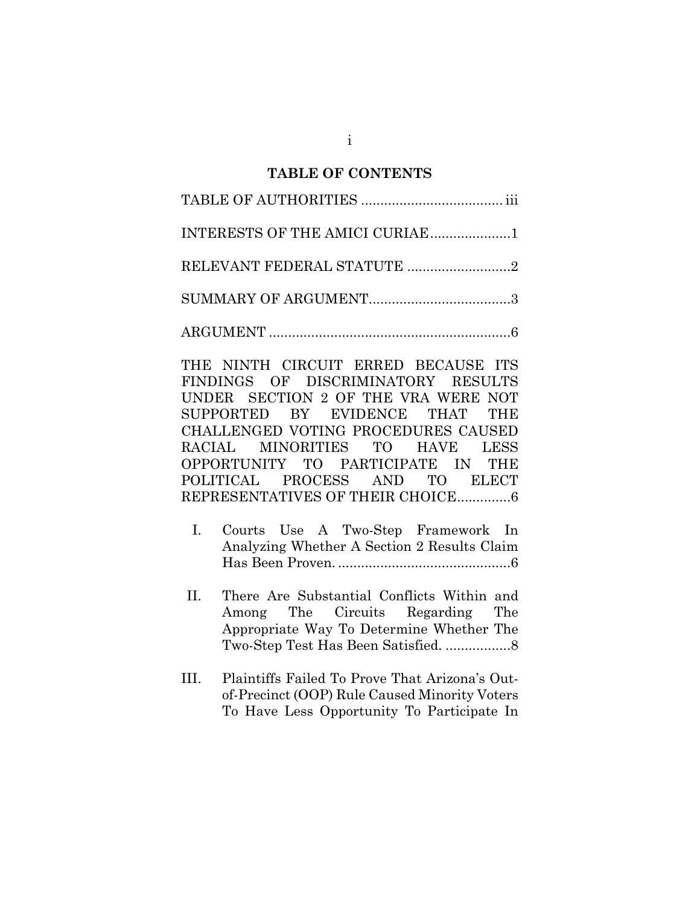#### **TABLE OF CONTENTS**

| INTERESTS OF THE AMICI CURIAE1 |  |
|--------------------------------|--|
| RELEVANT FEDERAL STATUTE 2     |  |
|                                |  |
|                                |  |

THE NINTH CIRCUIT ERRED BECAUSE ITS FINDINGS OF DISCRIMINATORY RESULTS UNDER SECTION 2 OF THE VRA WERE NOT SUPPORTED BY EVIDENCE THAT THE CHALLENGED VOTING PROCEDURES CAUSED RACIAL MINORITIES TO HAVE LESS OPPORTUNITY TO PARTICIPATE IN THE POLITICAL PROCESS AND TO ELECT REPRESENTATIVES OF THEIR CHOICE.............. 6

- I. Courts Use A Two-Step Framework In Analyzing Whether A Section 2 Results Claim Has Been Proven. ............................................. 6
- II. There Are Substantial Conflicts Within and Among The Circuits Regarding The Appropriate Way To Determine Whether The Two-Step Test Has Been Satisfied. ................. 8
- III. Plaintiffs Failed To Prove That Arizona's Outof-Precinct (OOP) Rule Caused Minority Voters To Have Less Opportunity To Participate In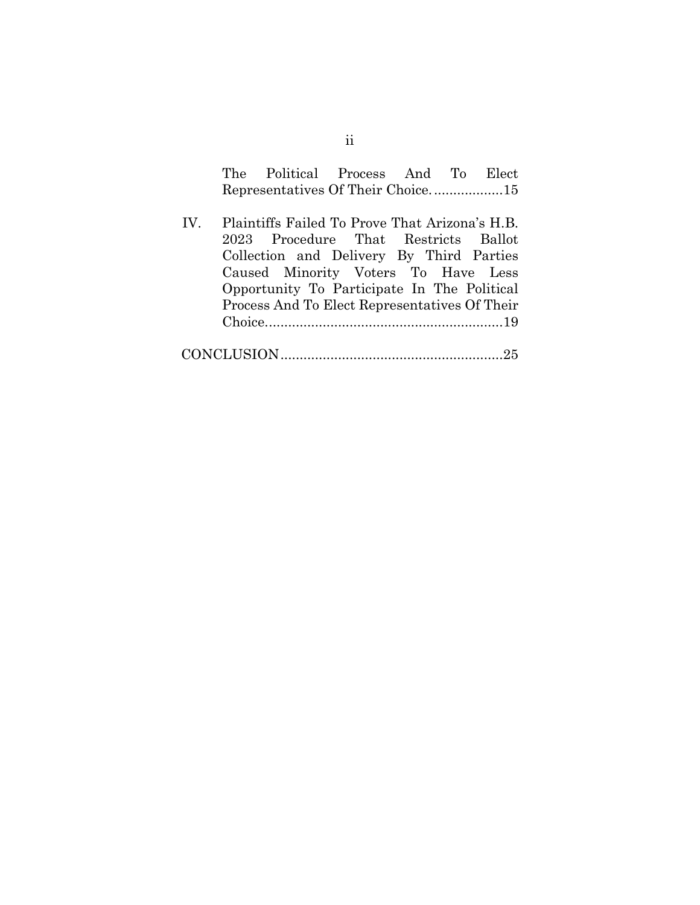| The Political Process And To Elect |  |  |
|------------------------------------|--|--|
|                                    |  |  |

IV. Plaintiffs Failed To Prove That Arizona's H.B. 2023 Procedure That Restricts Ballot Collection and Delivery By Third Parties Caused Minority Voters To Have Less Opportunity To Participate In The Political Process And To Elect Representatives Of Their Choice. .............................................................19

|--|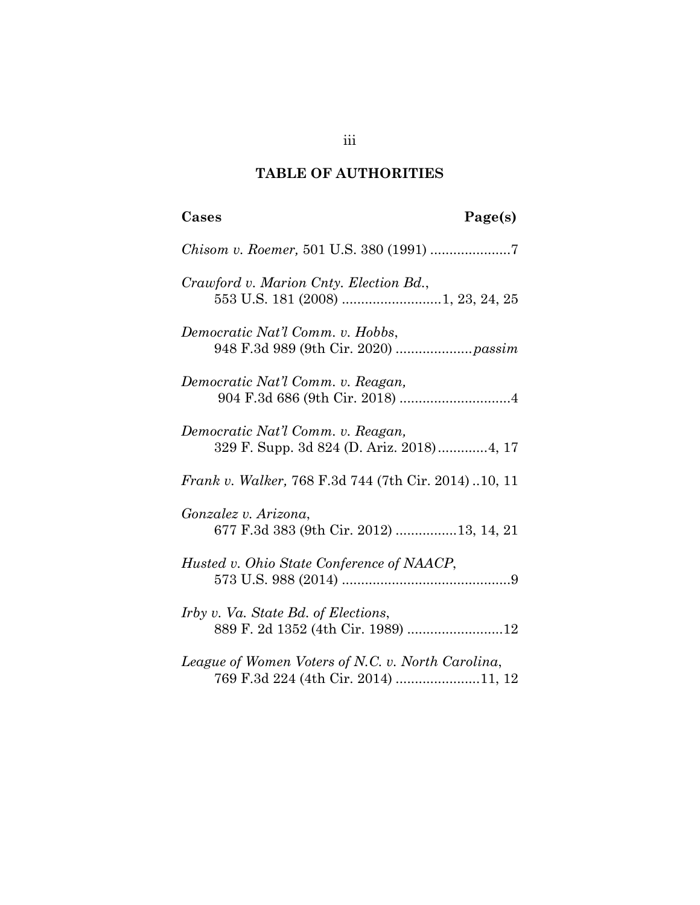# **TABLE OF AUTHORITIES**

| Cases<br>Page(s)                                                                         |
|------------------------------------------------------------------------------------------|
|                                                                                          |
| Crawford v. Marion Cnty. Election Bd.,                                                   |
| Democratic Nat'l Comm. v. Hobbs,                                                         |
| Democratic Nat'l Comm. v. Reagan,                                                        |
| Democratic Nat'l Comm. v. Reagan,<br>329 F. Supp. 3d 824 (D. Ariz. 2018)4, 17            |
| Frank v. Walker, 768 F.3d 744 (7th Cir. 2014)10, 11                                      |
| Gonzalez v. Arizona,<br>677 F.3d 383 (9th Cir. 2012) 13, 14, 21                          |
| Husted v. Ohio State Conference of NAACP,                                                |
| <i>Irby v. Va. State Bd. of Elections,</i>                                               |
| League of Women Voters of N.C. v. North Carolina,<br>769 F.3d 224 (4th Cir. 2014) 11, 12 |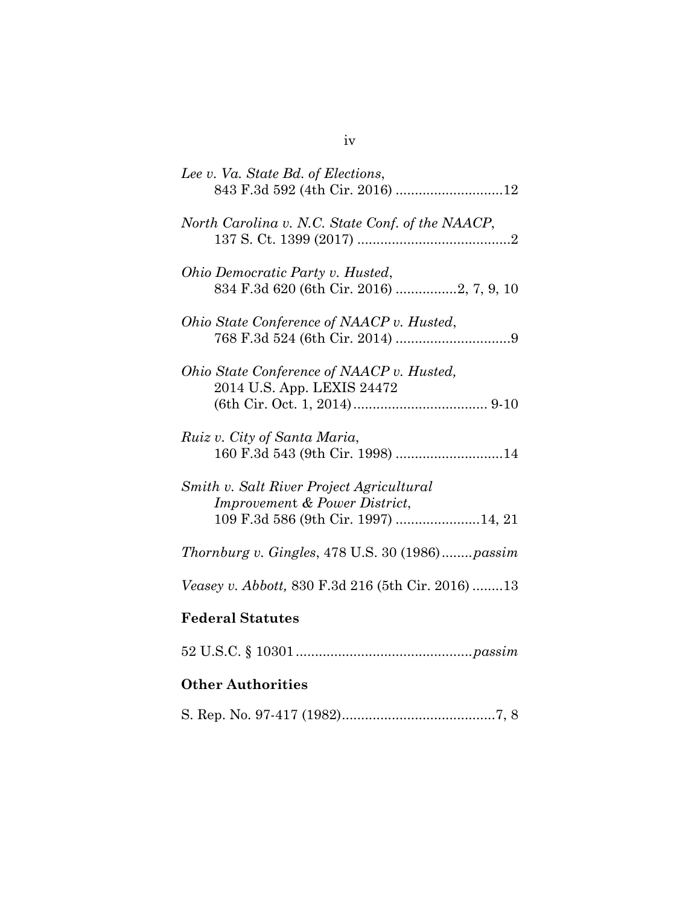| Lee v. Va. State Bd. of Elections,                                                                               |
|------------------------------------------------------------------------------------------------------------------|
| North Carolina v. N.C. State Conf. of the NAACP,                                                                 |
| Ohio Democratic Party v. Husted,<br>834 F.3d 620 (6th Cir. 2016) 2, 7, 9, 10                                     |
| Ohio State Conference of NAACP v. Husted,                                                                        |
| Ohio State Conference of NAACP v. Husted,<br>2014 U.S. App. LEXIS 24472                                          |
| Ruiz v. City of Santa Maria,                                                                                     |
| Smith v. Salt River Project Agricultural<br>Improvement & Power District,<br>109 F.3d 586 (9th Cir. 1997) 14, 21 |
| Thornburg v. Gingles, 478 U.S. 30 (1986)passim                                                                   |
| <i>Veasey v. Abbott, 830 F.3d 216 (5th Cir. 2016) 13</i>                                                         |
| <b>Federal Statutes</b>                                                                                          |
|                                                                                                                  |
| <b>Other Authorities</b>                                                                                         |
|                                                                                                                  |

iv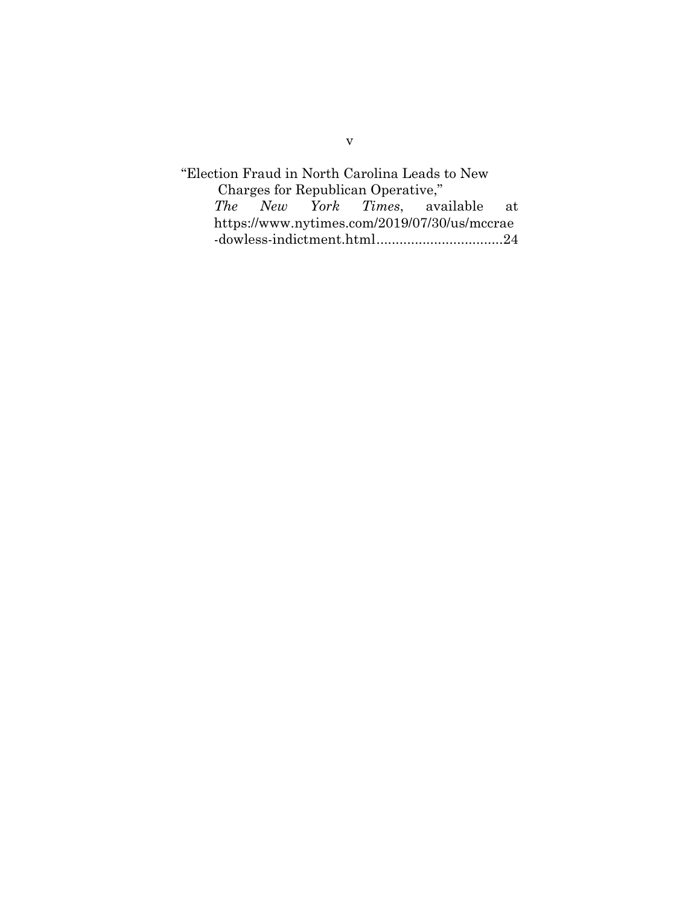"Election Fraud in North Carolina Leads to New Charges for Republican Operative,"<br>The New York Times, ave *The New York Times*, available at https://www.nytimes.com/2019/07/30/us/mccrae -dowless-indictment.html................................. 24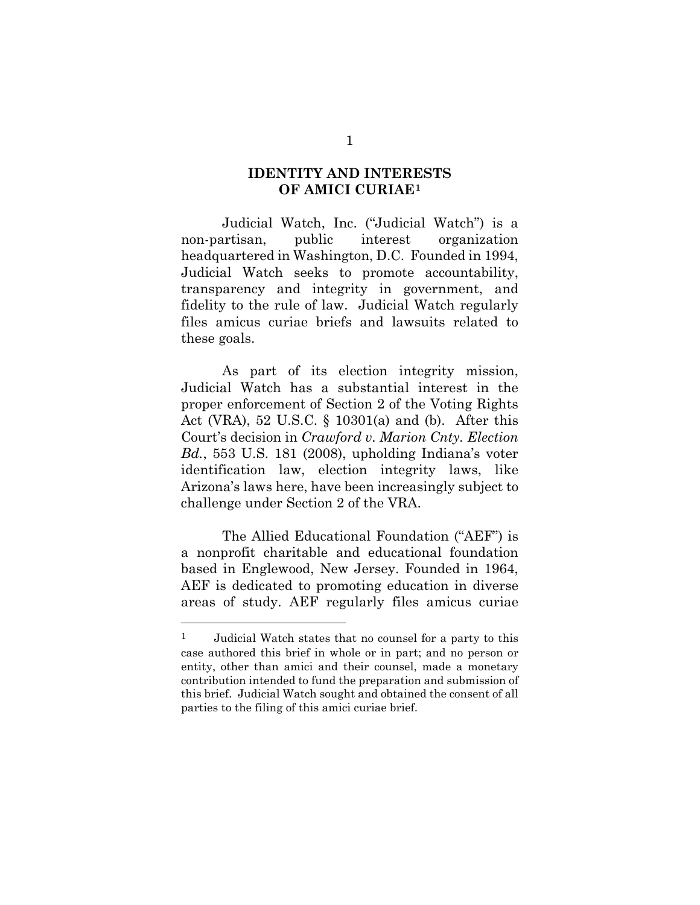## **IDENTITY AND INTERESTS OF AMICI CURIAE[1](#page-6-0)**

Judicial Watch, Inc. ("Judicial Watch") is a non-partisan, public interest organization headquartered in Washington, D.C. Founded in 1994, Judicial Watch seeks to promote accountability, transparency and integrity in government, and fidelity to the rule of law. Judicial Watch regularly files amicus curiae briefs and lawsuits related to these goals.

As part of its election integrity mission, Judicial Watch has a substantial interest in the proper enforcement of Section 2 of the Voting Rights Act (VRA), 52 U.S.C. § 10301(a) and (b). After this Court's decision in *Crawford v. Marion Cnty. Election Bd.*, 553 U.S. 181 (2008), upholding Indiana's voter identification law, election integrity laws, like Arizona's laws here, have been increasingly subject to challenge under Section 2 of the VRA.

The Allied Educational Foundation ("AEF") is a nonprofit charitable and educational foundation based in Englewood, New Jersey. Founded in 1964, AEF is dedicated to promoting education in diverse areas of study. AEF regularly files amicus curiae

<span id="page-6-0"></span><sup>1</sup> Judicial Watch states that no counsel for a party to this case authored this brief in whole or in part; and no person or entity, other than amici and their counsel, made a monetary contribution intended to fund the preparation and submission of this brief. Judicial Watch sought and obtained the consent of all parties to the filing of this amici curiae brief.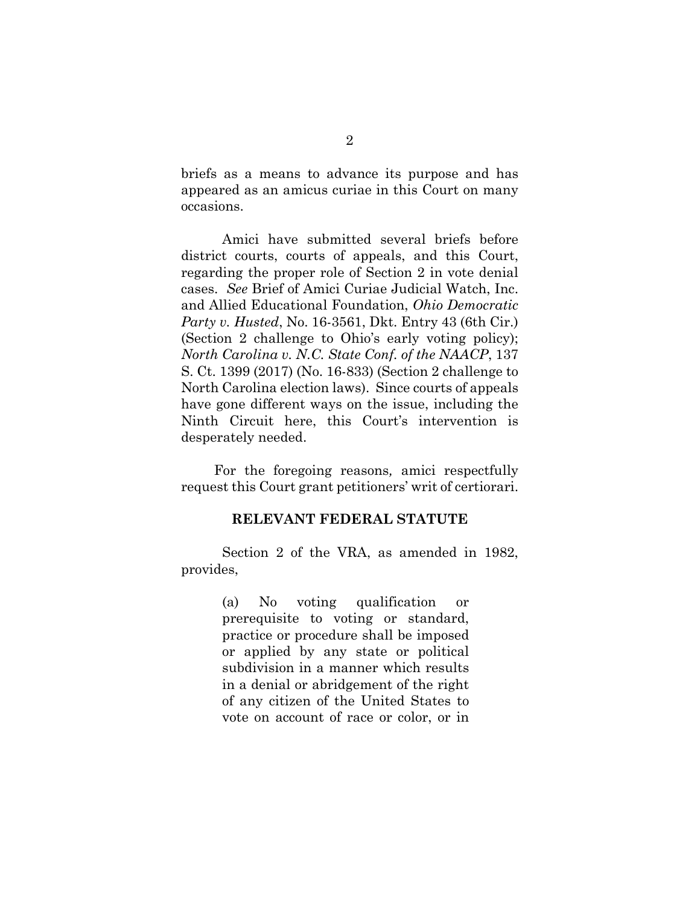briefs as a means to advance its purpose and has appeared as an amicus curiae in this Court on many occasions.

Amici have submitted several briefs before district courts, courts of appeals, and this Court, regarding the proper role of Section 2 in vote denial cases. *See* Brief of Amici Curiae Judicial Watch, Inc. and Allied Educational Foundation, *Ohio Democratic Party v. Husted*, No. 16-3561, Dkt. Entry 43 (6th Cir.) (Section 2 challenge to Ohio's early voting policy); *North Carolina v. N.C. State Conf. of the NAACP*, 137 S. Ct. 1399 (2017) (No. 16-833) (Section 2 challenge to North Carolina election laws). Since courts of appeals have gone different ways on the issue, including the Ninth Circuit here, this Court's intervention is desperately needed.

For the foregoing reasons*,* amici respectfully request this Court grant petitioners' writ of certiorari.

#### **RELEVANT FEDERAL STATUTE**

Section 2 of the VRA, as amended in 1982, provides,

> (a) No voting qualification or prerequisite to voting or standard, practice or procedure shall be imposed or applied by any state or political subdivision in a manner which results in a denial or abridgement of the right of any citizen of the United States to vote on account of race or color, or in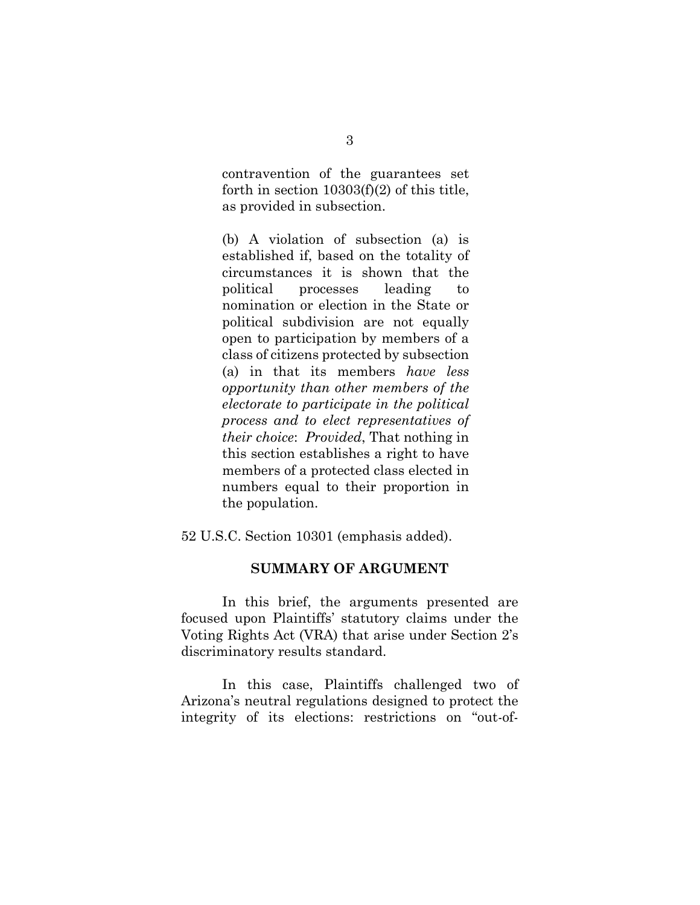contravention of the guarantees set forth in section 10303(f)(2) of this title, as provided in subsection.

(b) A violation of subsection (a) is established if, based on the totality of circumstances it is shown that the political processes leading to nomination or election in the State or political subdivision are not equally open to participation by members of a class of citizens protected by subsection (a) in that its members *have less opportunity than other members of the electorate to participate in the political process and to elect representatives of their choice*: *Provided*, That nothing in this section establishes a right to have members of a protected class elected in numbers equal to their proportion in the population.

52 U.S.C. Section 10301 (emphasis added).

#### **SUMMARY OF ARGUMENT**

In this brief, the arguments presented are focused upon Plaintiffs' statutory claims under the Voting Rights Act (VRA) that arise under Section 2's discriminatory results standard.

In this case, Plaintiffs challenged two of Arizona's neutral regulations designed to protect the integrity of its elections: restrictions on "out-of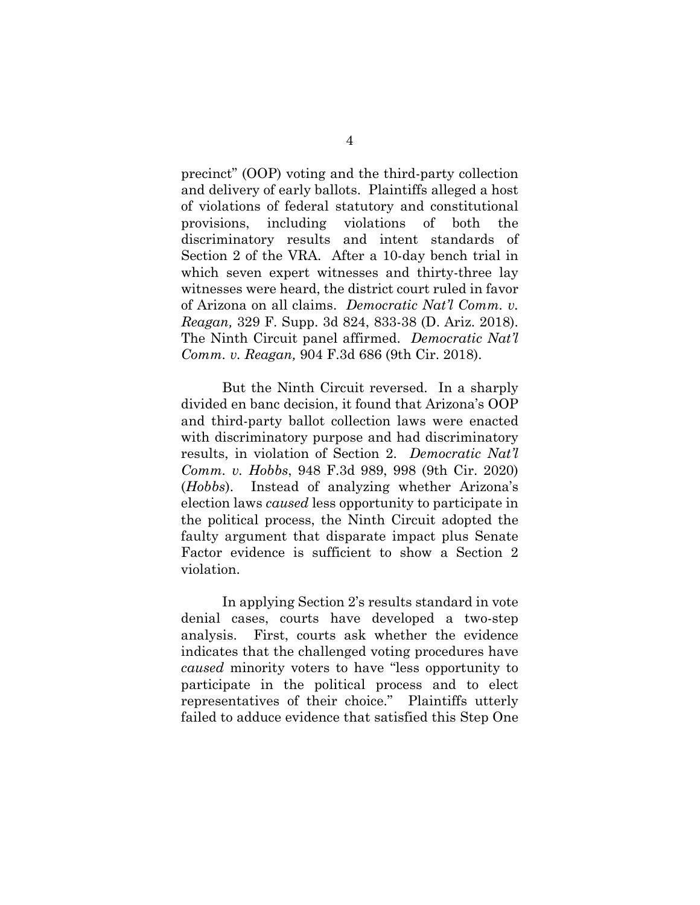precinct" (OOP) voting and the third-party collection and delivery of early ballots. Plaintiffs alleged a host of violations of federal statutory and constitutional provisions, including violations of both the discriminatory results and intent standards of Section 2 of the VRA. After a 10-day bench trial in which seven expert witnesses and thirty-three lay witnesses were heard, the district court ruled in favor of Arizona on all claims. *Democratic Nat'l Comm. v. Reagan,* 329 F. Supp. 3d 824, 833-38 (D. Ariz. 2018). The Ninth Circuit panel affirmed. *Democratic Nat'l Comm. v. Reagan,* 904 F.3d 686 (9th Cir. 2018).

But the Ninth Circuit reversed. In a sharply divided en banc decision, it found that Arizona's OOP and third-party ballot collection laws were enacted with discriminatory purpose and had discriminatory results, in violation of Section 2. *Democratic Nat'l Comm. v. Hobbs*, 948 F.3d 989, 998 (9th Cir. 2020) (*Hobbs*). Instead of analyzing whether Arizona's election laws *caused* less opportunity to participate in the political process, the Ninth Circuit adopted the faulty argument that disparate impact plus Senate Factor evidence is sufficient to show a Section 2 violation.

In applying Section 2's results standard in vote denial cases, courts have developed a two-step analysis. First, courts ask whether the evidence indicates that the challenged voting procedures have *caused* minority voters to have "less opportunity to participate in the political process and to elect representatives of their choice." Plaintiffs utterly failed to adduce evidence that satisfied this Step One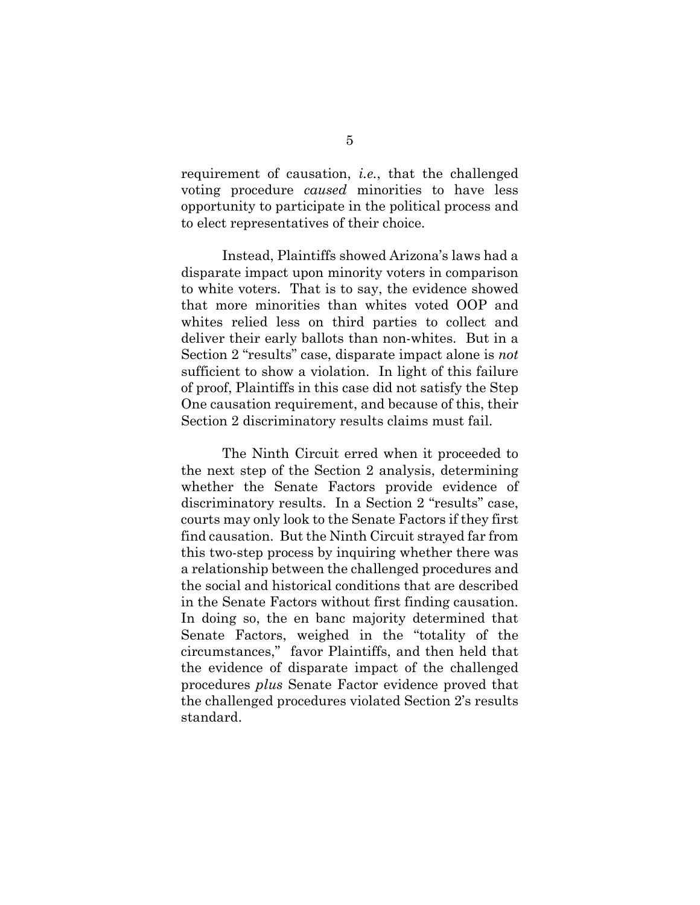requirement of causation, *i.e.*, that the challenged voting procedure *caused* minorities to have less opportunity to participate in the political process and to elect representatives of their choice.

Instead, Plaintiffs showed Arizona's laws had a disparate impact upon minority voters in comparison to white voters. That is to say, the evidence showed that more minorities than whites voted OOP and whites relied less on third parties to collect and deliver their early ballots than non-whites. But in a Section 2 "results" case, disparate impact alone is *not* sufficient to show a violation. In light of this failure of proof, Plaintiffs in this case did not satisfy the Step One causation requirement, and because of this, their Section 2 discriminatory results claims must fail.

The Ninth Circuit erred when it proceeded to the next step of the Section 2 analysis, determining whether the Senate Factors provide evidence of discriminatory results. In a Section 2 "results" case, courts may only look to the Senate Factors if they first find causation. But the Ninth Circuit strayed far from this two-step process by inquiring whether there was a relationship between the challenged procedures and the social and historical conditions that are described in the Senate Factors without first finding causation. In doing so, the en banc majority determined that Senate Factors, weighed in the "totality of the circumstances," favor Plaintiffs, and then held that the evidence of disparate impact of the challenged procedures *plus* Senate Factor evidence proved that the challenged procedures violated Section 2's results standard.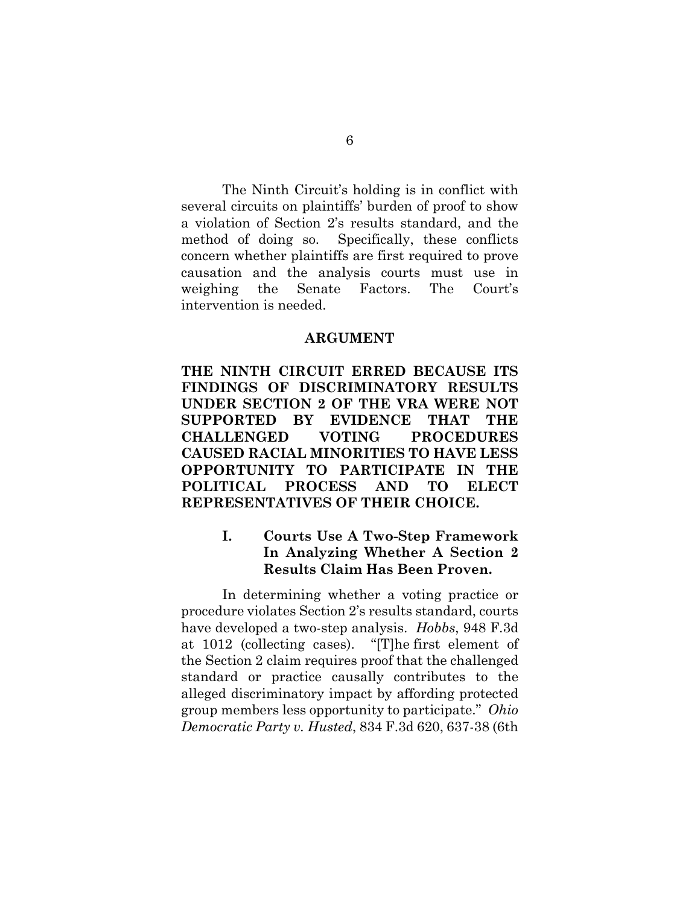The Ninth Circuit's holding is in conflict with several circuits on plaintiffs' burden of proof to show a violation of Section 2's results standard, and the method of doing so. Specifically, these conflicts concern whether plaintiffs are first required to prove causation and the analysis courts must use in weighing the Senate Factors. The Court's intervention is needed.

#### **ARGUMENT**

**THE NINTH CIRCUIT ERRED BECAUSE ITS FINDINGS OF DISCRIMINATORY RESULTS UNDER SECTION 2 OF THE VRA WERE NOT SUPPORTED BY EVIDENCE THAT THE CHALLENGED VOTING PROCEDURES CAUSED RACIAL MINORITIES TO HAVE LESS OPPORTUNITY TO PARTICIPATE IN THE POLITICAL PROCESS AND TO ELECT REPRESENTATIVES OF THEIR CHOICE.** 

# **I. Courts Use A Two-Step Framework In Analyzing Whether A Section 2 Results Claim Has Been Proven.**

In determining whether a voting practice or procedure violates Section 2's results standard, courts have developed a two-step analysis. *Hobbs*, 948 F.3d at 1012 (collecting cases). "[T]he first element of the [Section 2](https://advance.lexis.com/search/?pdmfid=1000516&crid=3f343c21-d3d7-4a28-af2a-54ecf539eba5&pdsearchterms=Ohio+Democratic+Party+v.+Husted%2C+834+F.3d+620&pdtypeofsearch=searchboxclick&pdsearchtype=SearchBox&pdstartin=&pdpsf=&pdqttype=and&pdquerytemplateid=&ecomp=n7d59kk&earg=pdsf&prid=63d0a3d5-7f9b-41ca-b683-f94ae50ab27c) claim requires proof that the challenged standard or practice causally contributes to the alleged discriminatory impact by affording protected group members less opportunity to participate." *Ohio Democratic Party v. Husted*, 834 F.3d 620, 637-38 (6th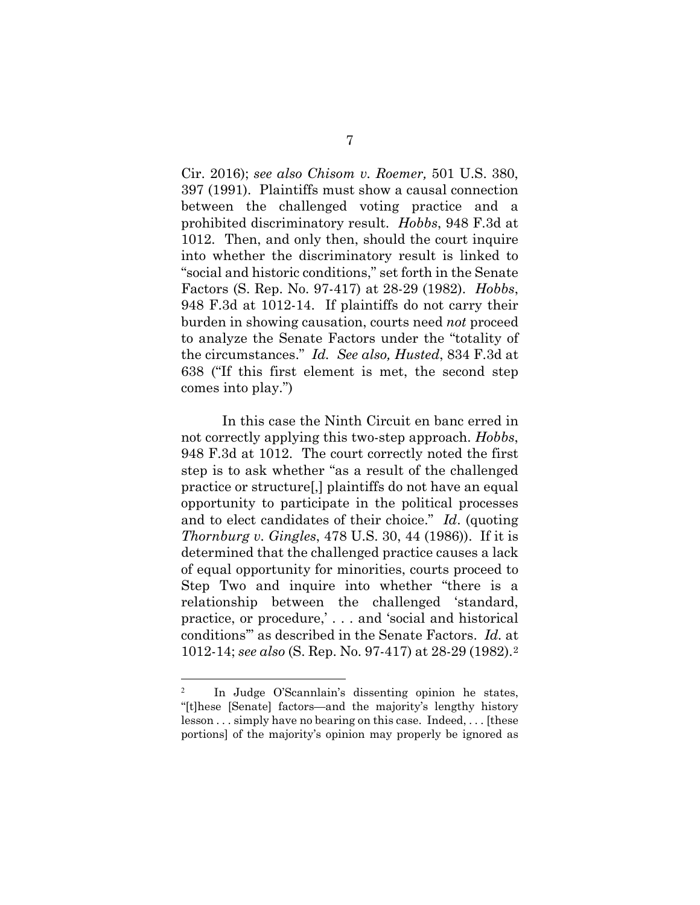Cir. 2016); *see also Chisom v. Roemer,* 501 U.S. 380, 397 (1991). Plaintiffs must show a causal connection between the challenged voting practice and a prohibited discriminatory result. *Hobbs*, 948 F.3d at 1012. Then, and only then, should the court inquire into whether the discriminatory result is linked to "social and historic conditions," set forth in the Senate Factors (S. Rep. No. 97-417) at 28-29 (1982). *Hobbs*, 948 F.3d at 1012-14. If plaintiffs do not carry their burden in showing causation, courts need *not* proceed to analyze the Senate Factors under the "totality of the circumstances." *Id. See also, Husted*, 834 F.3d at 638 ("If this first element is met, the second step comes into play.")

In this case the Ninth Circuit en banc erred in not correctly applying this two-step approach. *Hobbs*, 948 F.3d at 1012. The court correctly noted the first step is to ask whether "as a result of the challenged practice or structure[,] plaintiffs do not have an equal opportunity to participate in the political processes and to elect candidates of their choice." *Id*. (quoting *Thornburg v. Gingles*, 478 U.S. 30, 44 (1986)). If it is determined that the challenged practice causes a lack of equal opportunity for minorities, courts proceed to Step Two and inquire into whether "there is a relationship between the challenged 'standard, practice, or procedure,' . . . and 'social and historical conditions'" as described in the Senate Factors. *Id.* at 1012-14; *see also* (S. Rep. No. 97-417) at 28-29 (1982).[2](#page-12-0)

<span id="page-12-0"></span><sup>2</sup> In Judge O'Scannlain's dissenting opinion he states, "[t]hese [Senate] factors—and the majority's lengthy history lesson . . . simply have no bearing on this case. Indeed, . . . [these portions] of the majority's opinion may properly be ignored as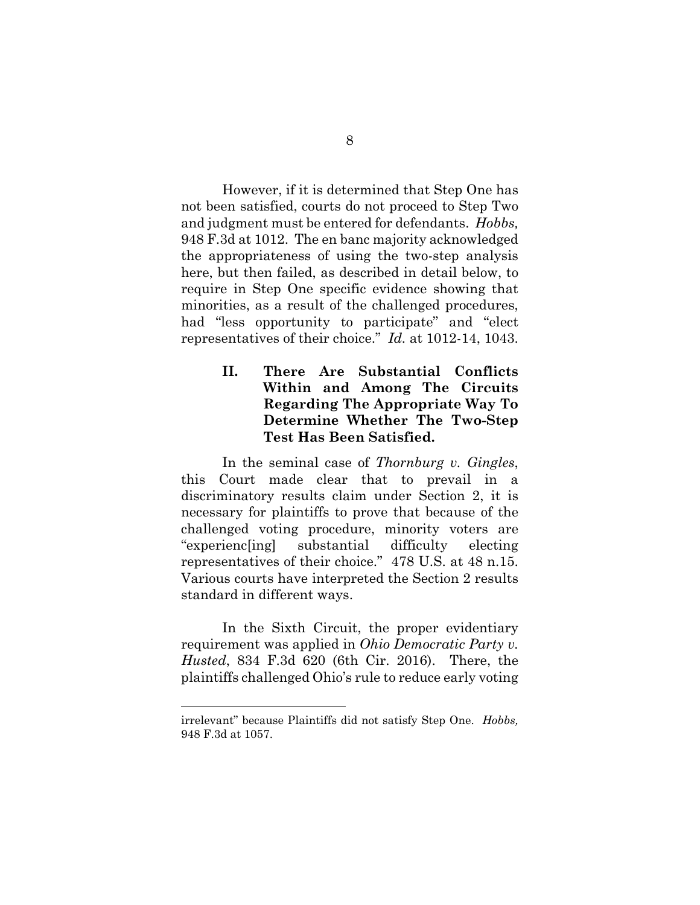However, if it is determined that Step One has not been satisfied, courts do not proceed to Step Two and judgment must be entered for defendants. *Hobbs,* 948 F.3d at 1012. The en banc majority acknowledged the appropriateness of using the two-step analysis here, but then failed, as described in detail below, to require in Step One specific evidence showing that minorities, as a result of the challenged procedures, had "less opportunity to participate" and "elect" representatives of their choice." *Id.* at 1012-14, 1043.

# **II. There Are Substantial Conflicts Within and Among The Circuits Regarding The Appropriate Way To Determine Whether The Two-Step Test Has Been Satisfied.**

In the seminal case of *Thornburg v. Gingles*, this Court made clear that to prevail in a discriminatory results claim under Section 2, it is necessary for plaintiffs to prove that because of the challenged voting procedure, minority voters are "experienc[ing] substantial difficulty electing representatives of their choice." 478 U.S. at 48 n.15. Various courts have interpreted the Section 2 results standard in different ways.

In the Sixth Circuit, the proper evidentiary requirement was applied in *Ohio Democratic Party v. Husted*, 834 F.3d 620 (6th Cir. 2016). There, the plaintiffs challenged Ohio's rule to reduce early voting

irrelevant" because Plaintiffs did not satisfy Step One. *Hobbs,*  948 F.3d at 1057.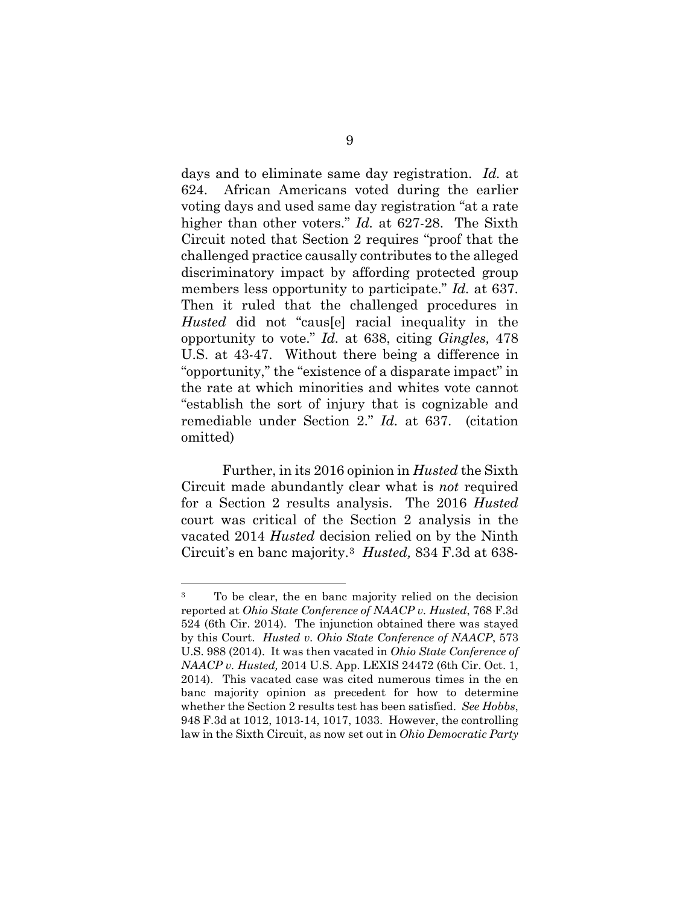days and to eliminate same day registration. *Id.* at 624. African Americans voted during the earlier voting days and used same day registration "at a rate higher than other voters." *Id.* at 627-28. The Sixth Circuit noted that Section 2 requires "proof that the challenged practice causally contributes to the alleged discriminatory impact by affording protected group members less opportunity to participate." *Id.* at 637. Then it ruled that the challenged procedures in *Husted* did not "caus[e] racial inequality in the opportunity to vote." *Id.* at 638, citing *Gingles,* 478 U.S. at 43-47. Without there being a difference in "opportunity," the "existence of a disparate impact" in the rate at which minorities and whites vote cannot "establish the sort of injury that is cognizable and remediable under Section 2." *Id.* at 637. (citation omitted)

Further, in its 2016 opinion in *Husted* the Sixth Circuit made abundantly clear what is *not* required for a Section 2 results analysis. The 2016 *Husted* court was critical of the Section 2 analysis in the vacated 2014 *Husted* decision relied on by the Ninth Circuit's en banc majority.[3](#page-14-0) *Husted,* 834 F.3d at 638-

<span id="page-14-0"></span><sup>3</sup> To be clear, the en banc majority relied on the decision reported at *Ohio State Conference of NAACP v. Husted*, 768 F.3d 524 (6th Cir. 2014). The injunction obtained there was stayed by this Court. *Husted v. Ohio State Conference of NAACP*, 573 U.S. 988 (2014). It was then vacated in *Ohio State Conference of NAACP v. Husted,* 2014 U.S. App. LEXIS 24472 (6th Cir. Oct. 1, 2014). This vacated case was cited numerous times in the en banc majority opinion as precedent for how to determine whether the Section 2 results test has been satisfied. *See Hobbs*, 948 F.3d at 1012, 1013-14, 1017, 1033. However, the controlling law in the Sixth Circuit, as now set out in *Ohio Democratic Party*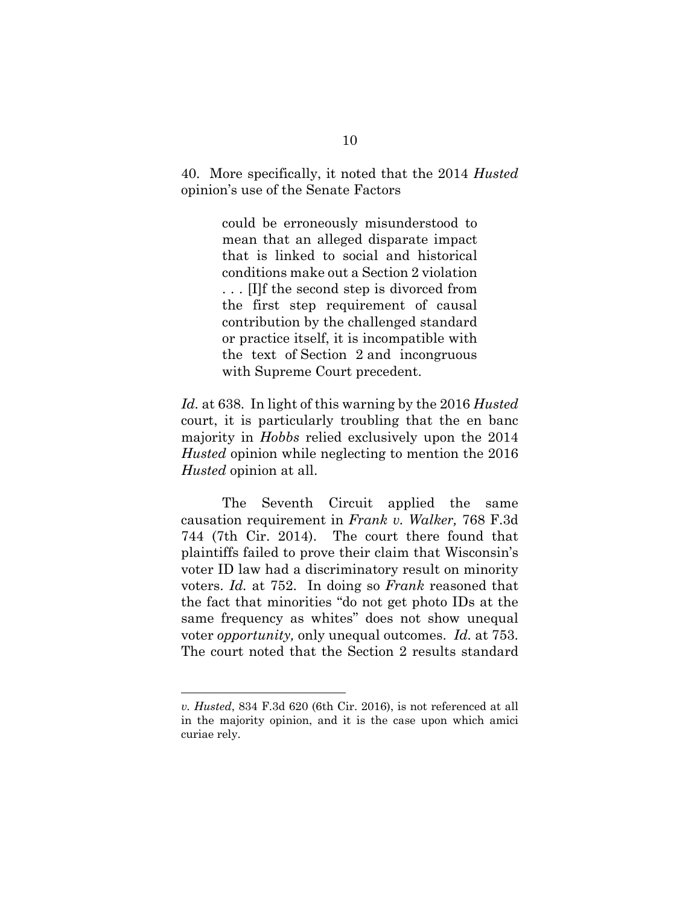40. More specifically, it noted that the 2014 *Husted* opinion's use of the Senate Factors

> could be erroneously misunderstood to mean that an alleged disparate impact that is linked to social and historical conditions make out a Section 2 violation . . . [I]f the second step is divorced from the first step requirement of causal contribution by the challenged standard or practice itself, it is incompatible with the text of [Section 2](https://advance.lexis.com/document/midlinetitle/?pdmfid=1000516&crid=2ecf7c2e-4fb9-4be2-8315-d18dbddd5560&pddocfullpath=%2Fshared%2Fdocument%2Fcases%2Furn%3AcontentItem%3A5KHW-HHS1-F04K-P130-00000-00&pdcomponentid=6390&ecomp=czhdk&earg=sr19&prid=878870c0-7b1e-494f-8c7f-703c48ccf7de) and incongruous with Supreme Court precedent.

*Id.* at 638. In light of this warning by the 2016 *Husted* court, it is particularly troubling that the en banc majority in *Hobbs* relied exclusively upon the 2014 *Husted* opinion while neglecting to mention the 2016 *Husted* opinion at all.

The Seventh Circuit applied the same causation requirement in *Frank v. Walker,* 768 F.3d 744 (7th Cir. 2014). The court there found that plaintiffs failed to prove their claim that Wisconsin's voter ID law had a discriminatory result on minority voters. *Id.* at 752. In doing so *Frank* reasoned that the fact that minorities "do not get photo IDs at the same frequency as whites" does not show unequal voter *opportunity,* only unequal outcomes. *Id.* at 753. The court noted that the Section 2 results standard

*v. Husted*, 834 F.3d 620 (6th Cir. 2016), is not referenced at all in the majority opinion, and it is the case upon which amici curiae rely.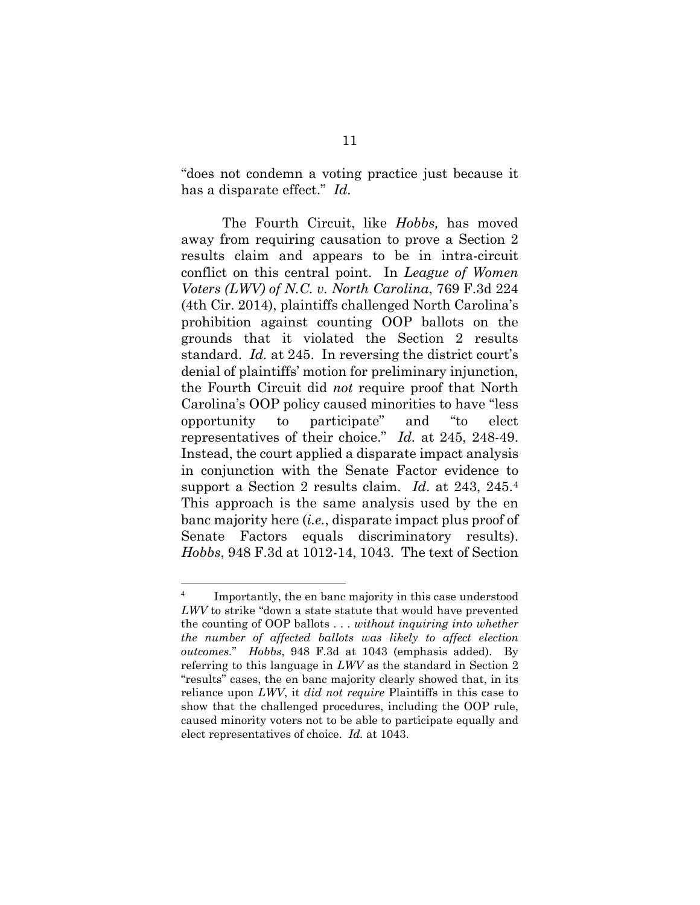"does not condemn a voting practice just because it has a disparate effect." *Id.*

The Fourth Circuit, like *Hobbs,* has moved away from requiring causation to prove a Section 2 results claim and appears to be in intra-circuit conflict on this central point. In *League of Women Voters (LWV) of N.C. v. North Carolina*, 769 F.3d 224 (4th Cir. 2014), plaintiffs challenged North Carolina's prohibition against counting OOP ballots on the grounds that it violated the Section 2 results standard. *Id.* at 245. In reversing the district court's denial of plaintiffs' motion for preliminary injunction, the Fourth Circuit did *not* require proof that North Carolina's OOP policy caused minorities to have "less opportunity to participate" and "to elect representatives of their choice." *Id.* at 245, 248-49. Instead, the court applied a disparate impact analysis in conjunction with the Senate Factor evidence to support a Section 2 results claim. *Id*. at 243, 245.[4](#page-16-0) This approach is the same analysis used by the en banc majority here (*i.e.*, disparate impact plus proof of Senate Factors equals discriminatory results). *Hobbs*, 948 F.3d at 1012-14, 1043. The text of Section

<span id="page-16-0"></span><sup>&</sup>lt;sup>4</sup> Importantly, the en banc majority in this case understood *LWV* to strike "down a state statute that would have prevented the counting of OOP ballots . . . *without inquiring into whether the number of affected ballots was likely to affect election outcomes.*" *Hobbs*, 948 F.3d at 1043 (emphasis added). By referring to this language in *LWV* as the standard in Section 2 "results" cases, the en banc majority clearly showed that, in its reliance upon *LWV*, it *did not require* Plaintiffs in this case to show that the challenged procedures, including the OOP rule, caused minority voters not to be able to participate equally and elect representatives of choice. *Id.* at 1043.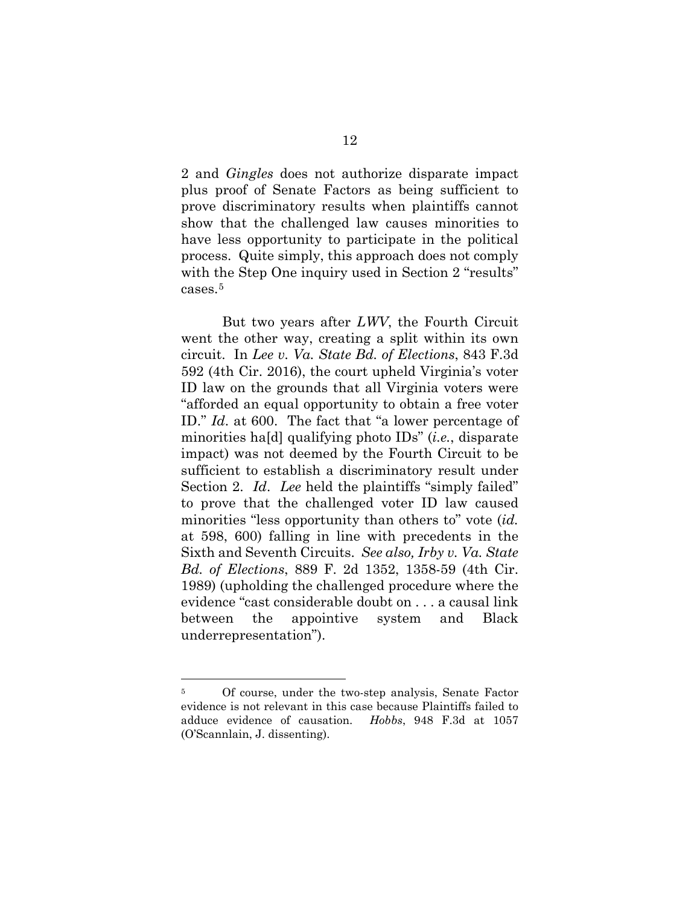2 and *Gingles* does not authorize disparate impact plus proof of Senate Factors as being sufficient to prove discriminatory results when plaintiffs cannot show that the challenged law causes minorities to have less opportunity to participate in the political process. Quite simply, this approach does not comply with the Step One inquiry used in Section 2 "results" cases.[5](#page-17-0)

But two years after *LWV*, the Fourth Circuit went the other way, creating a split within its own circuit. In *Lee v. Va. State Bd. of Elections*, 843 F.3d 592 (4th Cir. 2016), the court upheld Virginia's voter ID law on the grounds that all Virginia voters were "afforded an equal opportunity to obtain a free voter ID." *Id*. at 600. The fact that "a lower percentage of minorities ha[d] qualifying photo IDs" (*i.e.*, disparate impact) was not deemed by the Fourth Circuit to be sufficient to establish a discriminatory result under Section 2. *Id*. *Lee* held the plaintiffs "simply failed" to prove that the challenged voter ID law caused minorities "less opportunity than others to" vote (*id.* at 598, 600) falling in line with precedents in the Sixth and Seventh Circuits. *See also, Irby v. Va. State Bd. of Elections*, 889 F. 2d 1352, 1358-59 (4th Cir. 1989) (upholding the challenged procedure where the evidence "cast considerable doubt on . . . a causal link between the appointive system and Black underrepresentation").

<span id="page-17-0"></span><sup>5</sup> Of course, under the two-step analysis, Senate Factor evidence is not relevant in this case because Plaintiffs failed to adduce evidence of causation. *Hobbs*, 948 F.3d at 1057 (O'Scannlain, J. dissenting).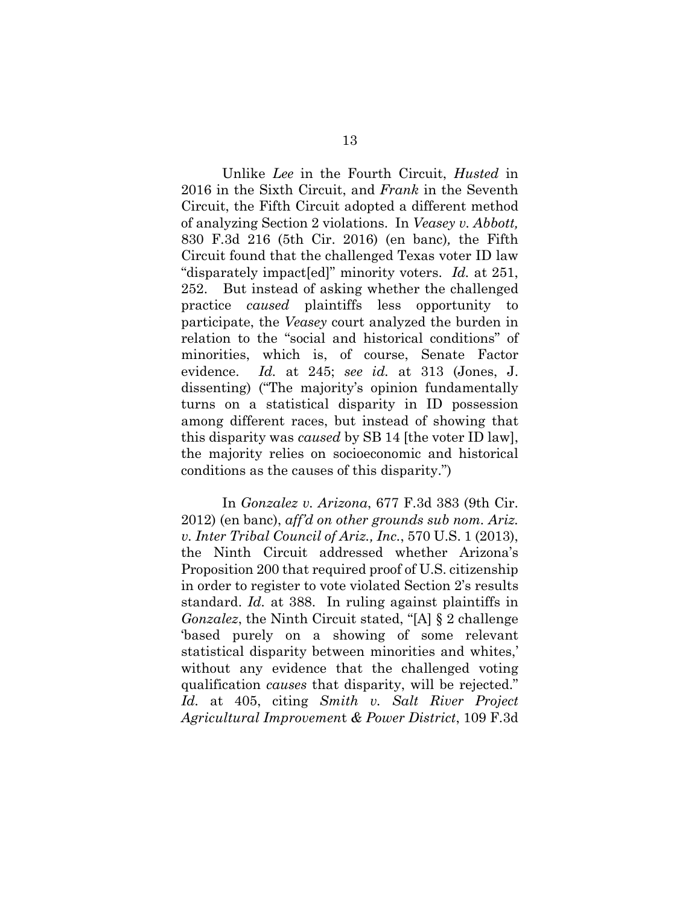Unlike *Lee* in the Fourth Circuit, *Husted* in 2016 in the Sixth Circuit, and *Frank* in the Seventh Circuit, the Fifth Circuit adopted a different method of analyzing Section 2 violations. In *Veasey v. Abbott,*  830 F.3d 216 (5th Cir. 2016) (en banc)*,* the Fifth Circuit found that the challenged Texas voter ID law "disparately impact[ed]" minority voters. *Id.* at 251, 252. But instead of asking whether the challenged practice *caused* plaintiffs less opportunity to participate, the *Veasey* court analyzed the burden in relation to the "social and historical conditions" of minorities, which is, of course, Senate Factor evidence. *Id.* at 245; *see id.* at 313 (Jones, J. dissenting) ("The majority's opinion fundamentally turns on a statistical disparity in ID possession among different races, but instead of showing that this disparity was *caused* by SB 14 [the voter ID law], the majority relies on socioeconomic and historical conditions as the causes of this disparity.")

In *Gonzalez v. Arizona*, 677 F.3d 383 (9th Cir. 2012) (en banc), *aff'd on other grounds sub nom. Ariz. v. Inter Tribal Council of Ariz., Inc.*, 570 U.S. 1 (2013), the Ninth Circuit addressed whether Arizona's Proposition 200 that required proof of U.S. citizenship in order to register to vote violated Section 2's results standard. *Id.* at 388. In ruling against plaintiffs in *Gonzalez*, the Ninth Circuit stated, "[A] § 2 challenge 'based purely on a showing of some relevant statistical disparity between minorities and whites,' without any evidence that the challenged voting qualification *causes* that disparity, will be rejected." *Id.* at 405, citing *Smith v. Salt River Project Agricultural Improvemen*t *& Power District*, 109 F.3d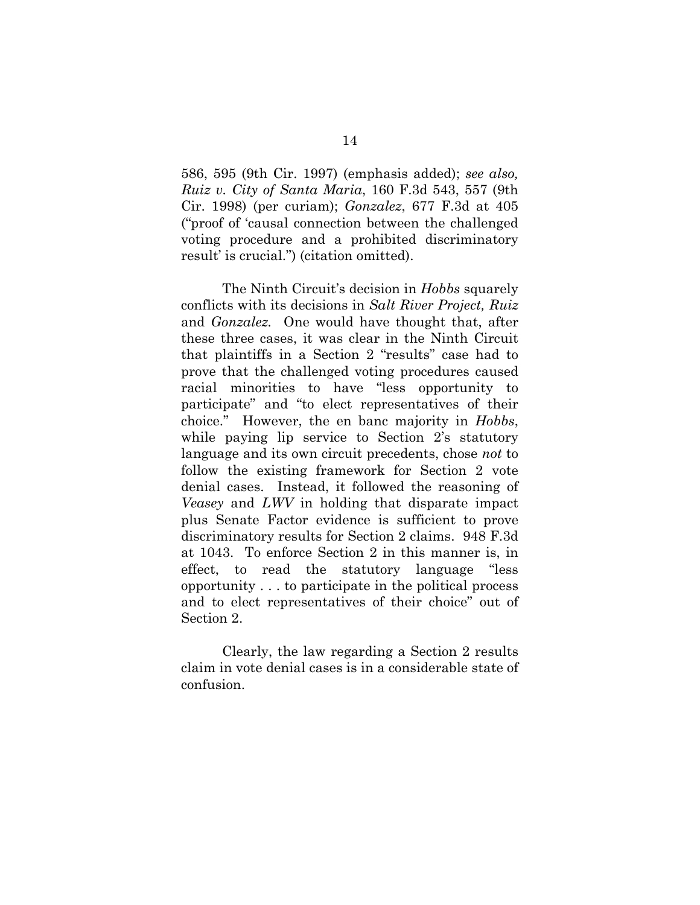586, 595 (9th Cir. 1997) (emphasis added); *see also, Ruiz v. City of Santa Maria*, 160 F.3d 543, 557 (9th Cir. 1998) (per curiam); *Gonzalez*, 677 F.3d at 405 ("proof of 'causal connection between the challenged voting procedure and a prohibited discriminatory result' is crucial.") (citation omitted).

The Ninth Circuit's decision in *Hobbs* squarely conflicts with its decisions in *Salt River Project, Ruiz*  and *Gonzalez.* One would have thought that, after these three cases, it was clear in the Ninth Circuit that plaintiffs in a Section 2 "results" case had to prove that the challenged voting procedures caused racial minorities to have "less opportunity to participate" and "to elect representatives of their choice." However, the en banc majority in *Hobbs*, while paying lip service to Section 2's statutory language and its own circuit precedents, chose *not* to follow the existing framework for Section 2 vote denial cases. Instead, it followed the reasoning of *Veasey* and *LWV* in holding that disparate impact plus Senate Factor evidence is sufficient to prove discriminatory results for Section 2 claims. 948 F.3d at 1043. To enforce Section 2 in this manner is, in effect, to read the statutory language "less opportunity . . . to participate in the political process and to elect representatives of their choice" out of Section 2.

Clearly, the law regarding a Section 2 results claim in vote denial cases is in a considerable state of confusion.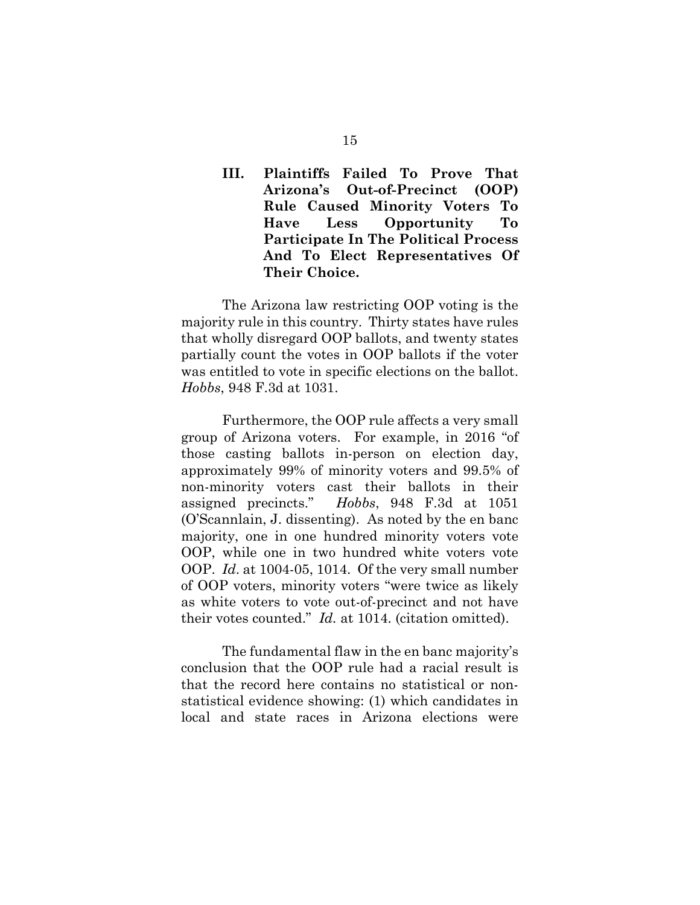# **III. Plaintiffs Failed To Prove That Arizona's Out-of-Precinct (OOP) Rule Caused Minority Voters To Have Less Opportunity To Participate In The Political Process And To Elect Representatives Of Their Choice.**

The Arizona law restricting OOP voting is the majority rule in this country. Thirty states have rules that wholly disregard OOP ballots, and twenty states partially count the votes in OOP ballots if the voter was entitled to vote in specific elections on the ballot. *Hobbs*, 948 F.3d at 1031.

Furthermore, the OOP rule affects a very small group of Arizona voters. For example, in 2016 "of those casting ballots in-person on election day, approximately 99% of minority voters and 99.5% of non-minority voters cast their ballots in their assigned precincts." *Hobbs*, 948 F.3d at 1051 (O'Scannlain, J. dissenting). As noted by the en banc majority, one in one hundred minority voters vote OOP, while one in two hundred white voters vote OOP. *Id*. at 1004-05, 1014. Of the very small number of OOP voters, minority voters "were twice as likely as white voters to vote out-of-precinct and not have their votes counted." *Id.* at 1014. (citation omitted).

The fundamental flaw in the en banc majority's conclusion that the OOP rule had a racial result is that the record here contains no statistical or nonstatistical evidence showing: (1) which candidates in local and state races in Arizona elections were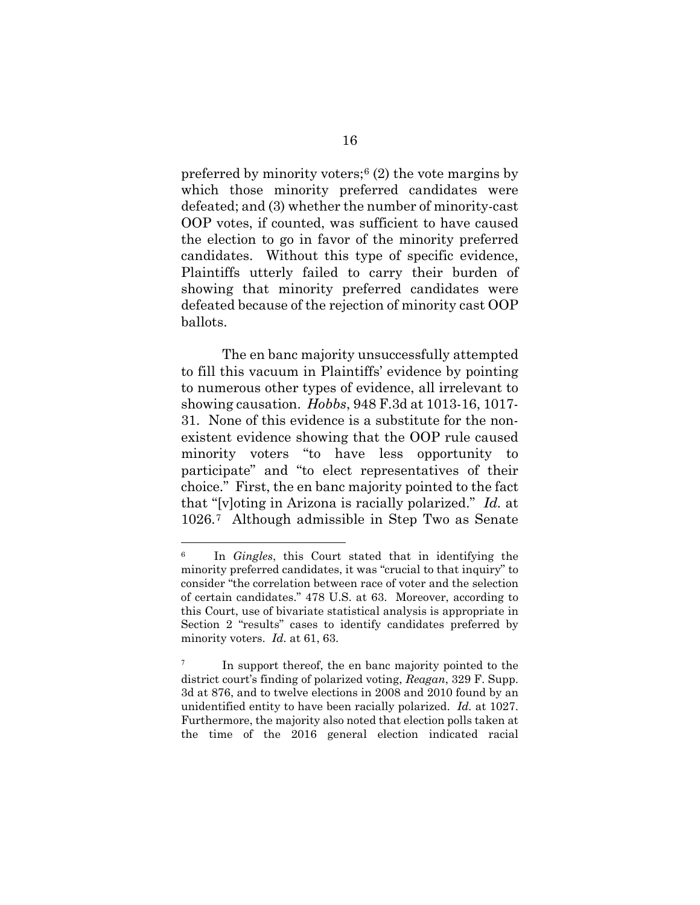preferred by minority voters;<sup>[6](#page-21-0)</sup> $(2)$  the vote margins by which those minority preferred candidates were defeated; and (3) whether the number of minority-cast OOP votes, if counted, was sufficient to have caused the election to go in favor of the minority preferred candidates. Without this type of specific evidence, Plaintiffs utterly failed to carry their burden of showing that minority preferred candidates were defeated because of the rejection of minority cast OOP ballots.

The en banc majority unsuccessfully attempted to fill this vacuum in Plaintiffs' evidence by pointing to numerous other types of evidence, all irrelevant to showing causation. *Hobbs*, 948 F.3d at 1013-16, 1017- 31. None of this evidence is a substitute for the nonexistent evidence showing that the OOP rule caused minority voters "to have less opportunity to participate" and "to elect representatives of their choice." First, the en banc majority pointed to the fact that "[v]oting in Arizona is racially polarized." *Id.* at 1026.[7](#page-21-1)Although admissible in Step Two as Senate

<span id="page-21-0"></span><sup>6</sup> In *Gingles*, this Court stated that in identifying the minority preferred candidates, it was "crucial to that inquiry" to consider "the correlation between race of voter and the selection of certain candidates." 478 U.S. at 63. Moreover, according to this Court, use of bivariate statistical analysis is appropriate in Section 2 "results" cases to identify candidates preferred by minority voters. *Id.* at 61, 63.

<span id="page-21-1"></span><sup>7</sup> In support thereof, the en banc majority pointed to the district court's finding of polarized voting, *Reagan*, 329 F. Supp. 3d at 876, and to twelve elections in 2008 and 2010 found by an unidentified entity to have been racially polarized. *Id.* at 1027. Furthermore, the majority also noted that election polls taken at the time of the 2016 general election indicated racial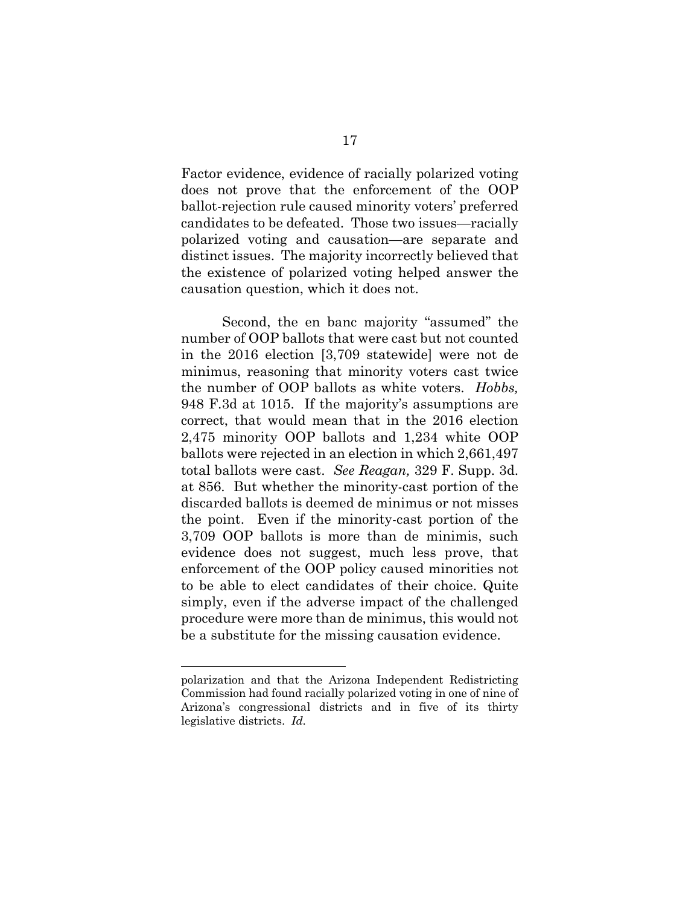Factor evidence, evidence of racially polarized voting does not prove that the enforcement of the OOP ballot-rejection rule caused minority voters' preferred candidates to be defeated. Those two issues—racially polarized voting and causation—are separate and distinct issues. The majority incorrectly believed that the existence of polarized voting helped answer the causation question, which it does not.

Second, the en banc majority "assumed" the number of OOP ballots that were cast but not counted in the 2016 election [3,709 statewide] were not de minimus, reasoning that minority voters cast twice the number of OOP ballots as white voters. *Hobbs,* 948 F.3d at 1015. If the majority's assumptions are correct, that would mean that in the 2016 election 2,475 minority OOP ballots and 1,234 white OOP ballots were rejected in an election in which 2,661,497 total ballots were cast. *See Reagan,* 329 F. Supp. 3d. at 856. But whether the minority-cast portion of the discarded ballots is deemed de minimus or not misses the point. Even if the minority-cast portion of the 3,709 OOP ballots is more than de minimis, such evidence does not suggest, much less prove, that enforcement of the OOP policy caused minorities not to be able to elect candidates of their choice. Quite simply, even if the adverse impact of the challenged procedure were more than de minimus, this would not be a substitute for the missing causation evidence.

polarization and that the Arizona Independent Redistricting Commission had found racially polarized voting in one of nine of Arizona's congressional districts and in five of its thirty legislative districts. *Id.*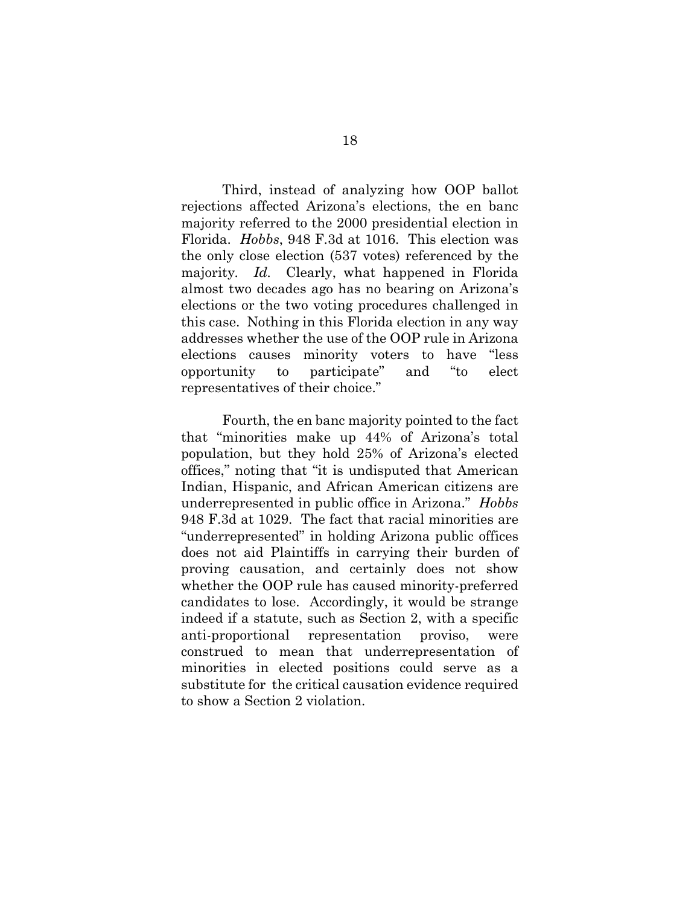Third, instead of analyzing how OOP ballot rejections affected Arizona's elections, the en banc majority referred to the 2000 presidential election in Florida. *Hobbs*, 948 F.3d at 1016. This election was the only close election (537 votes) referenced by the majority*. Id.* Clearly, what happened in Florida almost two decades ago has no bearing on Arizona's elections or the two voting procedures challenged in this case. Nothing in this Florida election in any way addresses whether the use of the OOP rule in Arizona elections causes minority voters to have "less opportunity to participate" and "to elect representatives of their choice."

Fourth, the en banc majority pointed to the fact that "minorities make up 44% of Arizona's total population, but they hold 25% of Arizona's elected offices," noting that "it is undisputed that American Indian, Hispanic, and African American citizens are underrepresented in public office in Arizona." *Hobbs* 948 F.3d at 1029. The fact that racial minorities are "underrepresented" in holding Arizona public offices does not aid Plaintiffs in carrying their burden of proving causation, and certainly does not show whether the OOP rule has caused minority-preferred candidates to lose. Accordingly, it would be strange indeed if a statute, such as Section 2, with a specific anti-proportional representation proviso, were construed to mean that underrepresentation of minorities in elected positions could serve as a substitute for the critical causation evidence required to show a Section 2 violation.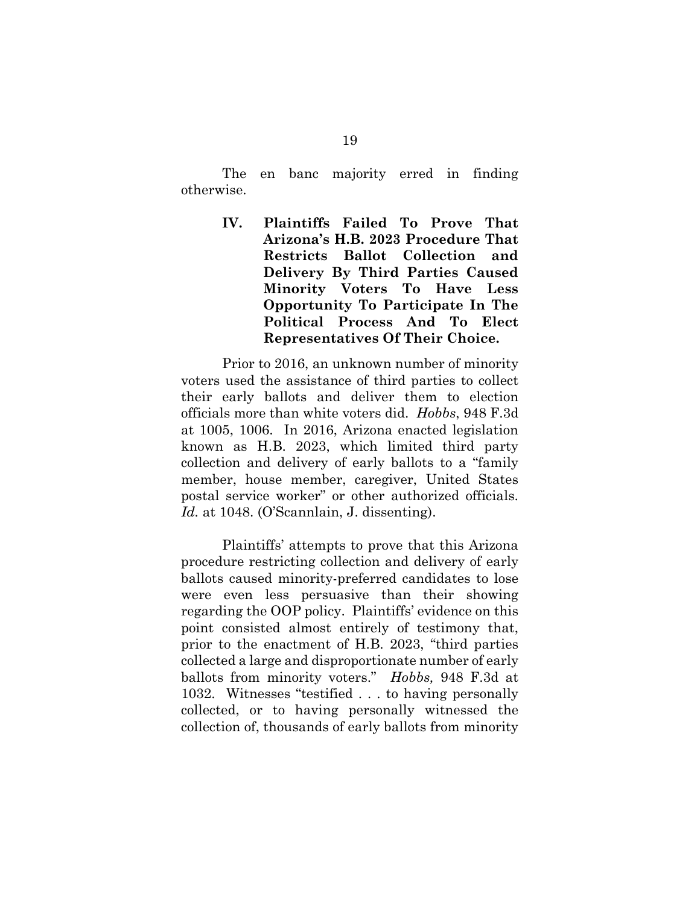The en banc majority erred in finding otherwise.

> **IV. Plaintiffs Failed To Prove That Arizona's H.B. 2023 Procedure That Restricts Ballot Collection and Delivery By Third Parties Caused Minority Voters To Have Less Opportunity To Participate In The Political Process And To Elect Representatives Of Their Choice.**

Prior to 2016, an unknown number of minority voters used the assistance of third parties to collect their early ballots and deliver them to election officials more than white voters did. *Hobbs*, 948 F.3d at 1005, 1006. In 2016, Arizona enacted legislation known as H.B. 2023, which limited third party collection and delivery of early ballots to a "family member, house member, caregiver, United States postal service worker" or other authorized officials. *Id.* at 1048. (O'Scannlain, J. dissenting).

Plaintiffs' attempts to prove that this Arizona procedure restricting collection and delivery of early ballots caused minority-preferred candidates to lose were even less persuasive than their showing regarding the OOP policy. Plaintiffs' evidence on this point consisted almost entirely of testimony that, prior to the enactment of H.B. 2023, "third parties collected a large and disproportionate number of early ballots from minority voters." *Hobbs,* 948 F.3d at 1032. Witnesses "testified . . . to having personally collected, or to having personally witnessed the collection of, thousands of early ballots from minority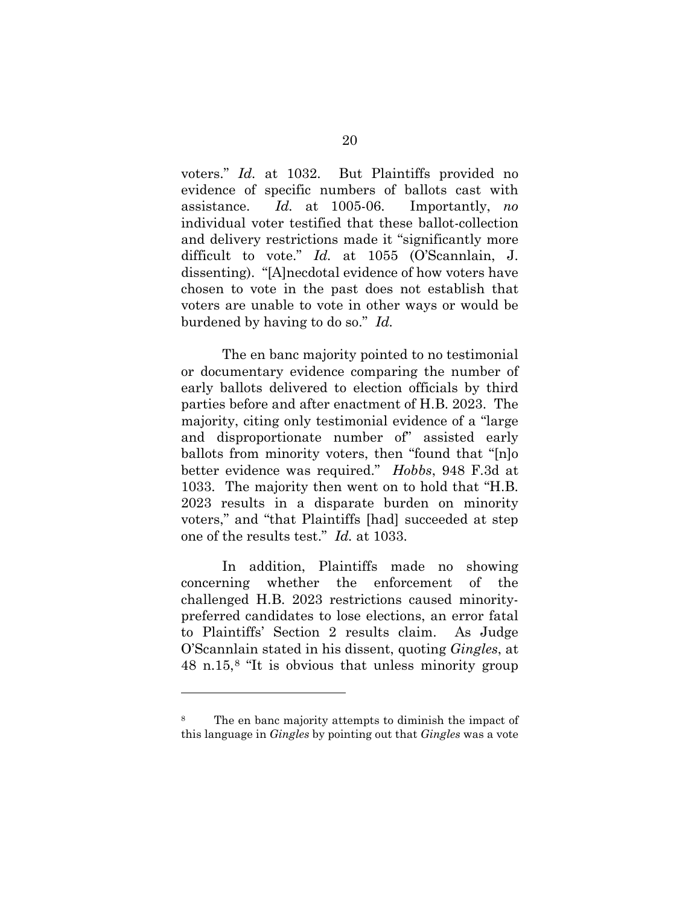voters." *Id.* at 1032. But Plaintiffs provided no evidence of specific numbers of ballots cast with assistance. *Id.* at 1005-06. Importantly, *no* individual voter testified that these ballot-collection and delivery restrictions made it "significantly more difficult to vote." *Id.* at 1055 (O'Scannlain, J. dissenting). "[A]necdotal evidence of how voters have chosen to vote in the past does not establish that voters are unable to vote in other ways or would be burdened by having to do so." *Id.*

The en banc majority pointed to no testimonial or documentary evidence comparing the number of early ballots delivered to election officials by third parties before and after enactment of H.B. 2023. The majority, citing only testimonial evidence of a "large and disproportionate number of" assisted early ballots from minority voters, then "found that "[n]o better evidence was required." *Hobbs*, 948 F.3d at 1033. The majority then went on to hold that "H.B. 2023 results in a disparate burden on minority voters," and "that Plaintiffs [had] succeeded at step one of the results test." *Id.* at 1033.

In addition, Plaintiffs made no showing concerning whether the enforcement of the challenged H.B. 2023 restrictions caused minoritypreferred candidates to lose elections, an error fatal to Plaintiffs' Section 2 results claim. As Judge O'Scannlain stated in his dissent, quoting *Gingles*, at 48 n.15,[8](#page-25-0) "It is obvious that unless minority group

<span id="page-25-0"></span><sup>8</sup> The en banc majority attempts to diminish the impact of this language in *Gingles* by pointing out that *Gingles* was a vote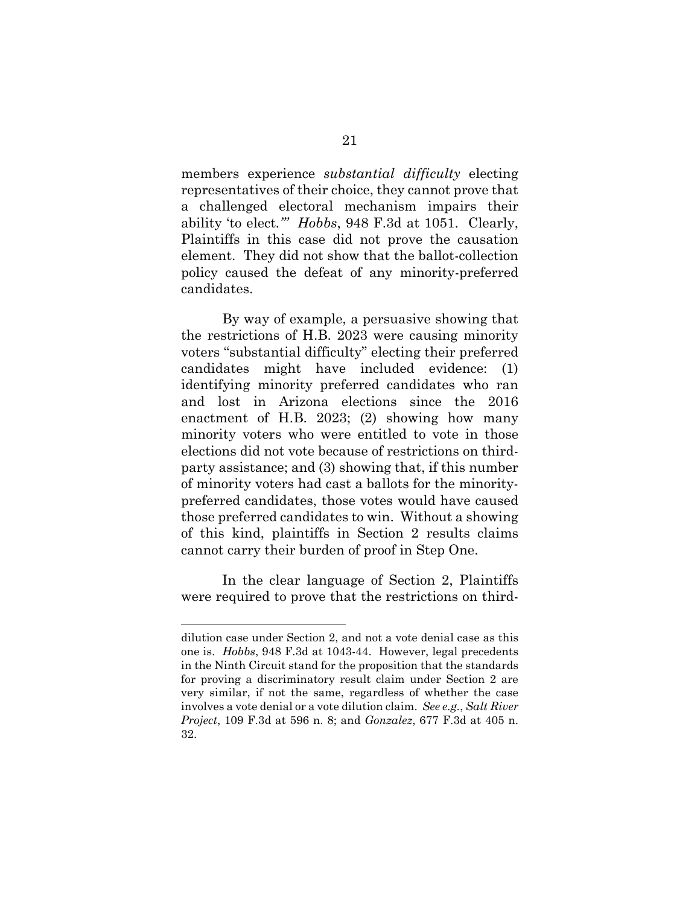members experience *substantial difficulty* electing representatives of their choice, they cannot prove that a challenged electoral mechanism impairs their ability 'to elect*.'" Hobbs*, 948 F.3d at 1051. Clearly, Plaintiffs in this case did not prove the causation element. They did not show that the ballot-collection policy caused the defeat of any minority-preferred candidates.

By way of example, a persuasive showing that the restrictions of H.B. 2023 were causing minority voters "substantial difficulty" electing their preferred candidates might have included evidence: (1) identifying minority preferred candidates who ran and lost in Arizona elections since the 2016 enactment of H.B. 2023; (2) showing how many minority voters who were entitled to vote in those elections did not vote because of restrictions on thirdparty assistance; and (3) showing that, if this number of minority voters had cast a ballots for the minoritypreferred candidates, those votes would have caused those preferred candidates to win. Without a showing of this kind, plaintiffs in Section 2 results claims cannot carry their burden of proof in Step One.

In the clear language of Section 2, Plaintiffs were required to prove that the restrictions on third-

dilution case under Section 2, and not a vote denial case as this one is. *Hobbs*, 948 F.3d at 1043-44. However, legal precedents in the Ninth Circuit stand for the proposition that the standards for proving a discriminatory result claim under Section 2 are very similar, if not the same, regardless of whether the case involves a vote denial or a vote dilution claim. *See e.g.*, *Salt River Project*, 109 F.3d at 596 n. 8; and *Gonzalez*, 677 F.3d at 405 n. 32.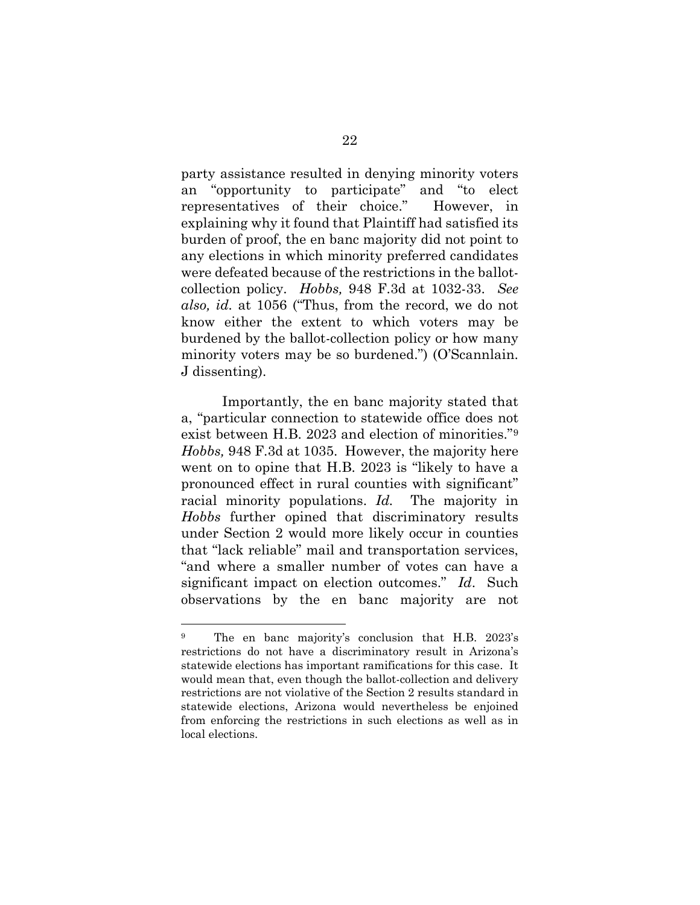party assistance resulted in denying minority voters an "opportunity to participate" and "to elect representatives of their choice." However, in explaining why it found that Plaintiff had satisfied its burden of proof, the en banc majority did not point to any elections in which minority preferred candidates were defeated because of the restrictions in the ballotcollection policy. *Hobbs,* 948 F.3d at 1032-33. *See also, id.* at 1056 ("Thus, from the record, we do not know either the extent to which voters may be burdened by the ballot-collection policy or how many minority voters may be so burdened.") (O'Scannlain. J dissenting).

Importantly, the en banc majority stated that a, "particular connection to statewide office does not exist between H.B. 2023 and election of minorities."[9](#page-27-0)  *Hobbs,* 948 F.3d at 1035. However, the majority here went on to opine that H.B. 2023 is "likely to have a pronounced effect in rural counties with significant" racial minority populations. *Id.* The majority in *Hobbs* further opined that discriminatory results under Section 2 would more likely occur in counties that "lack reliable" mail and transportation services, "and where a smaller number of votes can have a significant impact on election outcomes." *Id*. Such observations by the en banc majority are not

<span id="page-27-0"></span><sup>9</sup> The en banc majority's conclusion that H.B. 2023's restrictions do not have a discriminatory result in Arizona's statewide elections has important ramifications for this case. It would mean that, even though the ballot-collection and delivery restrictions are not violative of the Section 2 results standard in statewide elections, Arizona would nevertheless be enjoined from enforcing the restrictions in such elections as well as in local elections.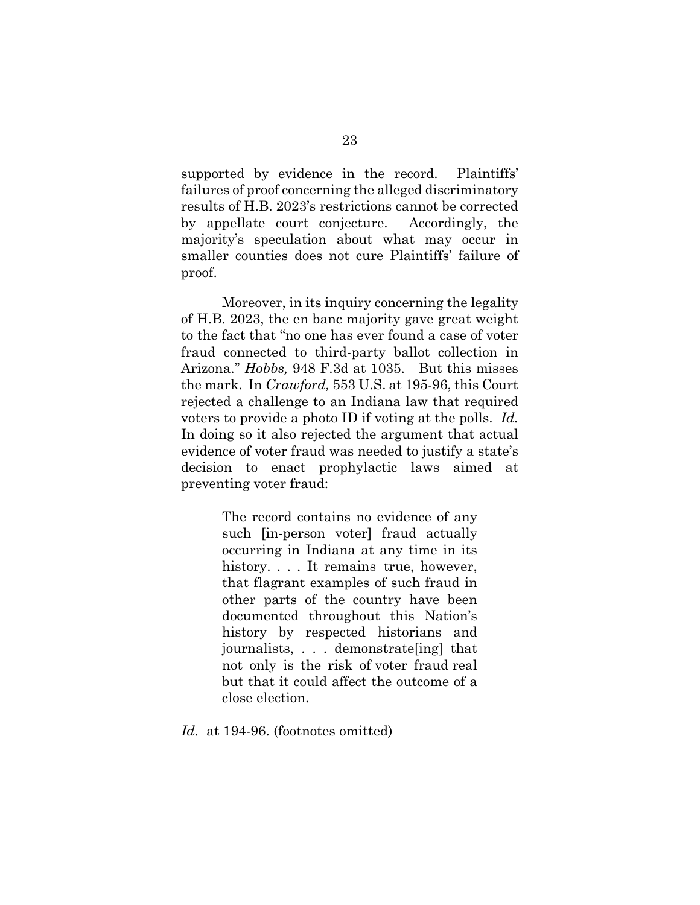supported by evidence in the record. Plaintiffs' failures of proof concerning the alleged discriminatory results of H.B. 2023's restrictions cannot be corrected by appellate court conjecture. Accordingly, the majority's speculation about what may occur in smaller counties does not cure Plaintiffs' failure of proof.

Moreover, in its inquiry concerning the legality of H.B. 2023, the en banc majority gave great weight to the fact that "no one has ever found a case of voter fraud connected to third-party ballot collection in Arizona." *Hobbs,* 948 F.3d at 1035. But this misses the mark. In *Crawford,* 553 U.S. at 195-96, this Court rejected a challenge to an Indiana law that required voters to provide a photo ID if voting at the polls. *Id.* In doing so it also rejected the argument that actual evidence of voter fraud was needed to justify a state's decision to enact prophylactic laws aimed at preventing voter fraud:

> The record contains no evidence of any such [in-person voter] fraud actually occurring in Indiana at any time in its his[t](https://advance.lexis.com/document/searchwithindocument/?pdmfid=1000516&crid=b238f848-651f-4b2b-b89e-859738e72163&pdsearchwithinterm=%22voter+fraud%22&pdworkfolderlocatorid=NOT_SAVED_IN_WORKFOLDER&ecomp=3sn3k&prid=d28bf50e-6a1b-4d62-a7a2-170f60f3ba0e)ory. . . . It remains true, however, that flagrant examples of such fraud in other parts of the country have been documented throughout this Nation's history by respected historians and journalists, . . . demonstrate[ing] that not only is the risk of voter fraud real but that it could affect the outcome of a close election.

Id. at 194-96. (footnotes omitted)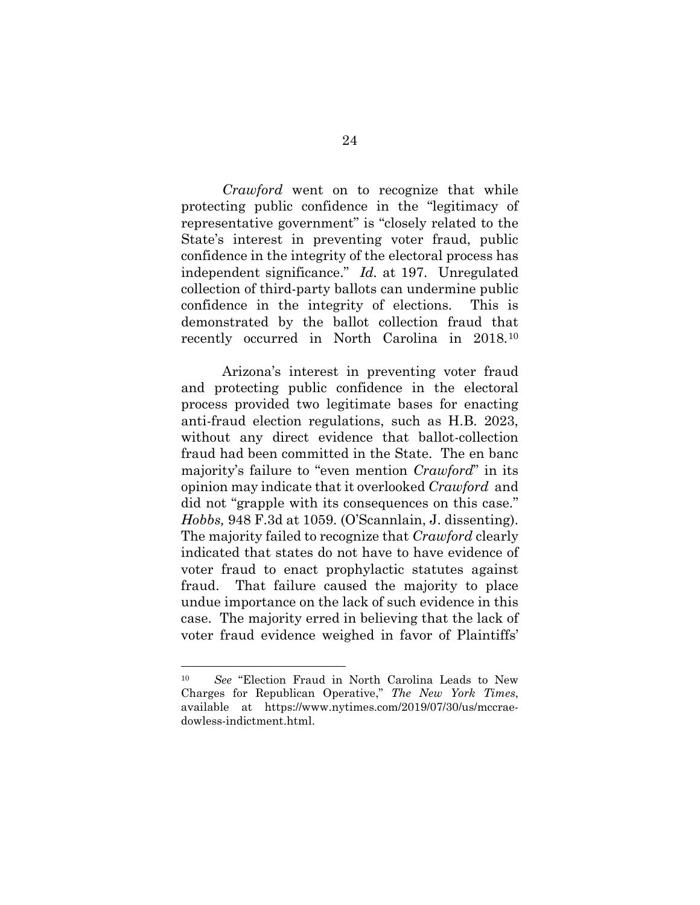*Crawford* went on to recognize that while protecting public confidence in the "legitimacy of representative government" is "closely related to the State's interest in preventing voter fraud, public confidence in the integrity of the electoral process has independent significance." *Id.* at 197. Unregulated collection of third-party ballots can undermine public confidence in the integrity of elections. This is demonstrated by the ballot collection fraud that recently occurred in North Carolina in 2018.[10](#page-29-0)

Arizona's interest in preventing voter fraud and protecting public confidence in the electoral process provided two legitimate bases for enacting anti-fraud election regulations, such as H.B. 2023, without any direct evidence that ballot-collection fraud had been committed in the State. The en banc majority's failure to "even mention *Crawford*" in its opinion may indicate that it overlooked *Crawford* and did not "grapple with its consequences on this case." *Hobbs,* 948 F.3d at 1059. (O'Scannlain, J. dissenting). The majority failed to recognize that *Crawford* clearly indicated that states do not have to have evidence of voter fraud to enact prophylactic statutes against fraud. That failure caused the majority to place undue importance on the lack of such evidence in this case. The majority erred in believing that the lack of voter fraud evidence weighed in favor of Plaintiffs'

<span id="page-29-0"></span><sup>10</sup> *See* "Election Fraud in North Carolina Leads to New Charges for Republican Operative," *The New York Times*, available at [https://www.nytimes.com/2019/07/30/us/mccrae](https://www.nytimes.com/2019/07/30/us/mccrae-dowless-indictment.html)[dowless-indictment.html.](https://www.nytimes.com/2019/07/30/us/mccrae-dowless-indictment.html)